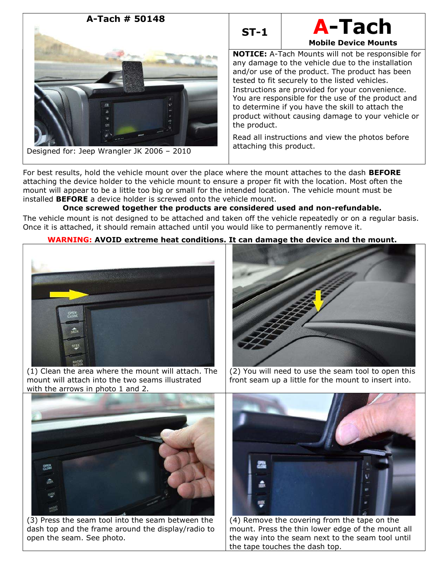



Mobile Device Mounts

NOTICE: A-Tach Mounts will not be responsible for any damage to the vehicle due to the installation and/or use of the product. The product has been tested to fit securely to the listed vehicles. Instructions are provided for your convenience. You are responsible for the use of the product and to determine if you have the skill to attach the product without causing damage to your vehicle or the product.

Read all instructions and view the photos before attaching this product.

For best results, hold the vehicle mount over the place where the mount attaches to the dash **BEFORE** attaching the device holder to the vehicle mount to ensure a proper fit with the location. Most often the mount will appear to be a little too big or small for the intended location. The vehicle mount must be installed BEFORE a device holder is screwed onto the vehicle mount.

# Once screwed together the products are considered used and non-refundable.

The vehicle mount is not designed to be attached and taken off the vehicle repeatedly or on a regular basis. Once it is attached, it should remain attached until you would like to permanently remove it.

# WARNING: AVOID extreme heat conditions. It can damage the device and the mount.



(1) Clean the area where the mount will attach. The mount will attach into the two seams illustrated with the arrows in photo 1 and 2.



(2) You will need to use the seam tool to open this front seam up a little for the mount to insert into.



(3) Press the seam tool into the seam between the dash top and the frame around the display/radio to open the seam. See photo.



(4) Remove the covering from the tape on the mount. Press the thin lower edge of the mount all the way into the seam next to the seam tool until the tape touches the dash top.